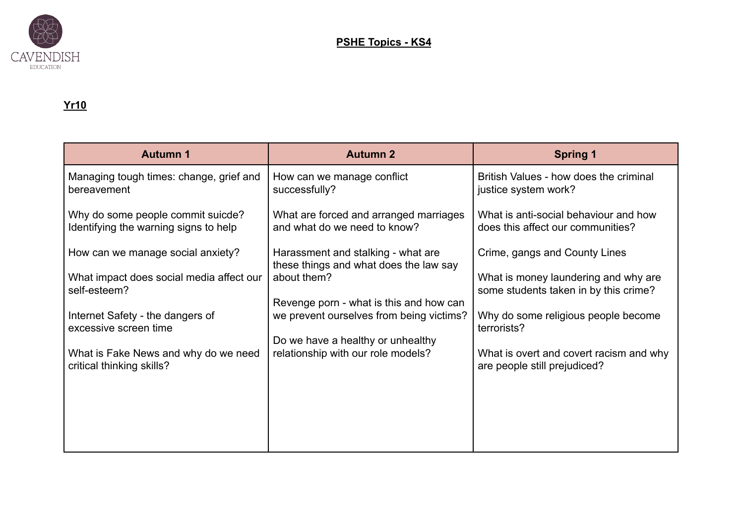

## **Yr10**

| <b>Autumn 1</b>                                                            | <b>Autumn 2</b>                                                                     | <b>Spring 1</b>                                                               |
|----------------------------------------------------------------------------|-------------------------------------------------------------------------------------|-------------------------------------------------------------------------------|
| Managing tough times: change, grief and<br>bereavement                     | How can we manage conflict<br>successfully?                                         | British Values - how does the criminal<br>justice system work?                |
| Why do some people commit suicde?<br>Identifying the warning signs to help | What are forced and arranged marriages<br>and what do we need to know?              | What is anti-social behaviour and how<br>does this affect our communities?    |
| How can we manage social anxiety?                                          | Harassment and stalking - what are<br>these things and what does the law say        | Crime, gangs and County Lines                                                 |
| What impact does social media affect our<br>self-esteem?                   | about them?                                                                         | What is money laundering and why are<br>some students taken in by this crime? |
| Internet Safety - the dangers of<br>excessive screen time                  | Revenge porn - what is this and how can<br>we prevent ourselves from being victims? | Why do some religious people become<br>terrorists?                            |
| What is Fake News and why do we need                                       | Do we have a healthy or unhealthy<br>relationship with our role models?             | What is overt and covert racism and why                                       |
| critical thinking skills?                                                  |                                                                                     | are people still prejudiced?                                                  |
|                                                                            |                                                                                     |                                                                               |
|                                                                            |                                                                                     |                                                                               |
|                                                                            |                                                                                     |                                                                               |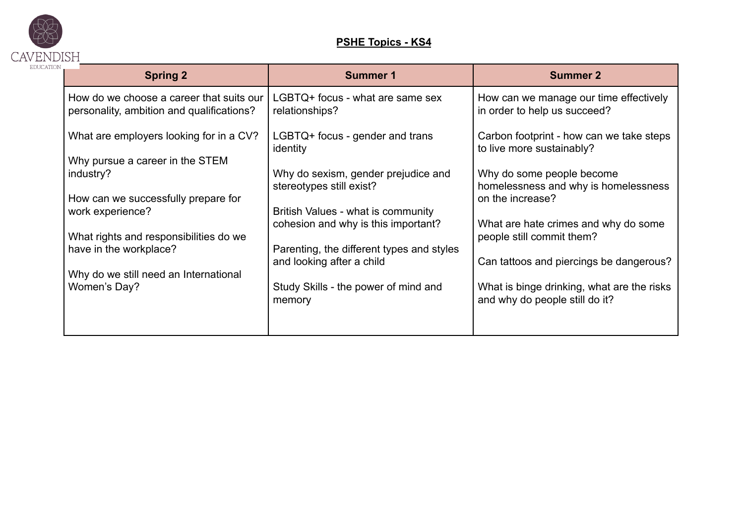

## **PSHE Topics - KS4**

| <b>Spring 2</b>                                                                       | <b>Summer 1</b>                                                        | <b>Summer 2</b>                                                              |
|---------------------------------------------------------------------------------------|------------------------------------------------------------------------|------------------------------------------------------------------------------|
| How do we choose a career that suits our<br>personality, ambition and qualifications? | LGBTQ+ focus - what are same sex<br>relationships?                     | How can we manage our time effectively<br>in order to help us succeed?       |
| What are employers looking for in a CV?                                               | LGBTQ+ focus - gender and trans<br>identity                            | Carbon footprint - how can we take steps<br>to live more sustainably?        |
| Why pursue a career in the STEM<br>industry?                                          | Why do sexism, gender prejudice and<br>stereotypes still exist?        | Why do some people become<br>homelessness and why is homelessness            |
| How can we successfully prepare for<br>work experience?                               | British Values - what is community                                     | on the increase?                                                             |
| What rights and responsibilities do we                                                | cohesion and why is this important?                                    | What are hate crimes and why do some<br>people still commit them?            |
| have in the workplace?<br>Why do we still need an International                       | Parenting, the different types and styles<br>and looking after a child | Can tattoos and piercings be dangerous?                                      |
| Women's Day?                                                                          | Study Skills - the power of mind and<br>memory                         | What is binge drinking, what are the risks<br>and why do people still do it? |
|                                                                                       |                                                                        |                                                                              |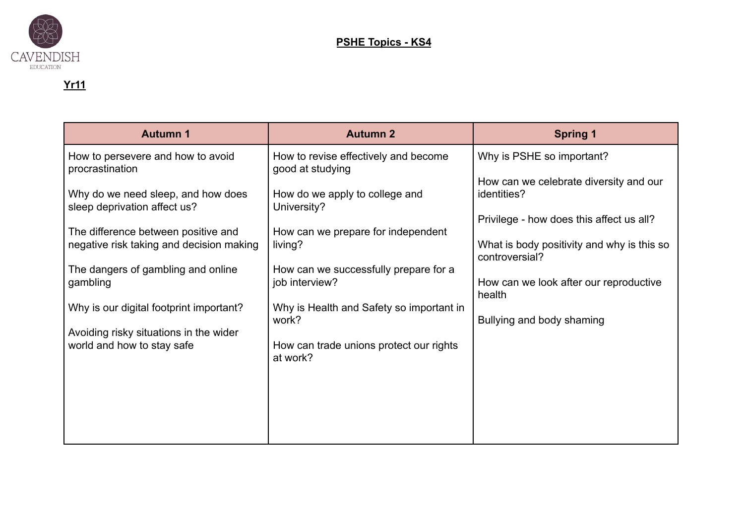

## **Yr11**

| <b>Autumn 1</b>                                                      | <b>Autumn 2</b>                                          | <b>Spring 1</b>                                              |
|----------------------------------------------------------------------|----------------------------------------------------------|--------------------------------------------------------------|
| How to persevere and how to avoid<br>procrastination                 | How to revise effectively and become<br>good at studying | Why is PSHE so important?                                    |
| Why do we need sleep, and how does<br>sleep deprivation affect us?   | How do we apply to college and<br>University?            | How can we celebrate diversity and our<br>identities?        |
| The difference between positive and                                  | How can we prepare for independent                       | Privilege - how does this affect us all?                     |
| negative risk taking and decision making                             | living?                                                  | What is body positivity and why is this so<br>controversial? |
| The dangers of gambling and online<br>gambling                       | How can we successfully prepare for a<br>job interview?  | How can we look after our reproductive<br>health             |
| Why is our digital footprint important?                              | Why is Health and Safety so important in<br>work?        | Bullying and body shaming                                    |
| Avoiding risky situations in the wider<br>world and how to stay safe | How can trade unions protect our rights<br>at work?      |                                                              |
|                                                                      |                                                          |                                                              |
|                                                                      |                                                          |                                                              |
|                                                                      |                                                          |                                                              |